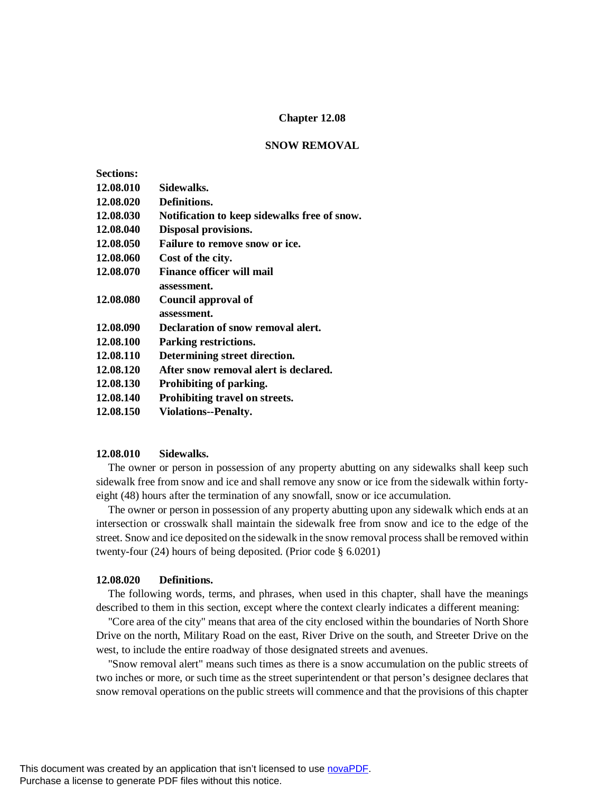## **Chapter 12.08**

#### **SNOW REMOVAL**

| <b>Sections:</b> |                                              |
|------------------|----------------------------------------------|
| 12.08.010        | Sidewalks.                                   |
| 12.08.020        | Definitions.                                 |
| 12.08.030        | Notification to keep sidewalks free of snow. |
| 12.08.040        | Disposal provisions.                         |
| 12.08.050        | Failure to remove snow or ice.               |
| 12.08.060        | Cost of the city.                            |
| 12.08.070        | <b>Finance officer will mail</b>             |
|                  | assessment.                                  |
| 12.08.080        | Council approval of                          |
|                  | assessment.                                  |
| 12.08.090        | Declaration of snow removal alert.           |
| 12.08.100        | <b>Parking restrictions.</b>                 |
| 12.08.110        | Determining street direction.                |
| 12.08.120        | After snow removal alert is declared.        |
| 12.08.130        | Prohibiting of parking.                      |
| 12.08.140        | Prohibiting travel on streets.               |
| 12.08.150        | <b>Violations--Penalty.</b>                  |
|                  |                                              |

## **12.08.010 Sidewalks.**

The owner or person in possession of any property abutting on any sidewalks shall keep such sidewalk free from snow and ice and shall remove any snow or ice from the sidewalk within fortyeight (48) hours after the termination of any snowfall, snow or ice accumulation.

The owner or person in possession of any property abutting upon any sidewalk which ends at an intersection or crosswalk shall maintain the sidewalk free from snow and ice to the edge of the street. Snow and ice deposited on the sidewalk in the snow removal process shall be removed within twenty-four (24) hours of being deposited. (Prior code § 6.0201)

## **12.08.020 Definitions.**

The following words, terms, and phrases, when used in this chapter, shall have the meanings described to them in this section, except where the context clearly indicates a different meaning:

"Core area of the city" means that area of the city enclosed within the boundaries of North Shore Drive on the north, Military Road on the east, River Drive on the south, and Streeter Drive on the west, to include the entire roadway of those designated streets and avenues.

"Snow removal alert" means such times as there is a snow accumulation on the public streets of two inches or more, or such time as the street superintendent or that person's designee declares that snow removal operations on the public streets will commence and that the provisions of this chapter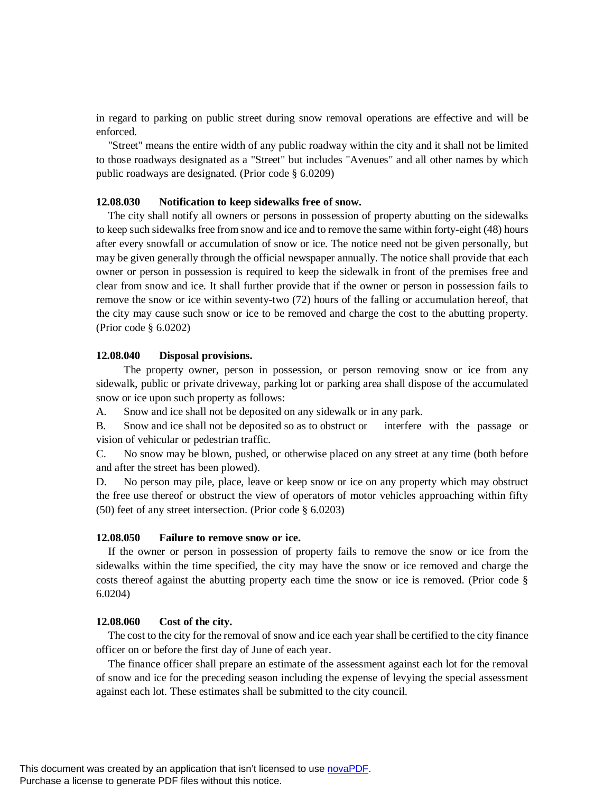in regard to parking on public street during snow removal operations are effective and will be enforced.

"Street" means the entire width of any public roadway within the city and it shall not be limited to those roadways designated as a "Street" but includes "Avenues" and all other names by which public roadways are designated. (Prior code § 6.0209)

### **12.08.030 Notification to keep sidewalks free of snow.**

The city shall notify all owners or persons in possession of property abutting on the sidewalks to keep such sidewalks free from snow and ice and to remove the same within forty-eight (48) hours after every snowfall or accumulation of snow or ice. The notice need not be given personally, but may be given generally through the official newspaper annually. The notice shall provide that each owner or person in possession is required to keep the sidewalk in front of the premises free and clear from snow and ice. It shall further provide that if the owner or person in possession fails to remove the snow or ice within seventy-two (72) hours of the falling or accumulation hereof, that the city may cause such snow or ice to be removed and charge the cost to the abutting property. (Prior code § 6.0202)

### **12.08.040 Disposal provisions.**

The property owner, person in possession, or person removing snow or ice from any sidewalk, public or private driveway, parking lot or parking area shall dispose of the accumulated snow or ice upon such property as follows:

A. Snow and ice shall not be deposited on any sidewalk or in any park.

B. Snow and ice shall not be deposited so as to obstruct or interfere with the passage or vision of vehicular or pedestrian traffic.

C. No snow may be blown, pushed, or otherwise placed on any street at any time (both before and after the street has been plowed).

D. No person may pile, place, leave or keep snow or ice on any property which may obstruct the free use thereof or obstruct the view of operators of motor vehicles approaching within fifty (50) feet of any street intersection. (Prior code § 6.0203)

### **12.08.050 Failure to remove snow or ice.**

If the owner or person in possession of property fails to remove the snow or ice from the sidewalks within the time specified, the city may have the snow or ice removed and charge the costs thereof against the abutting property each time the snow or ice is removed. (Prior code § 6.0204)

### **12.08.060 Cost of the city.**

The cost to the city for the removal of snow and ice each year shall be certified to the city finance officer on or before the first day of June of each year.

The finance officer shall prepare an estimate of the assessment against each lot for the removal of snow and ice for the preceding season including the expense of levying the special assessment against each lot. These estimates shall be submitted to the city council.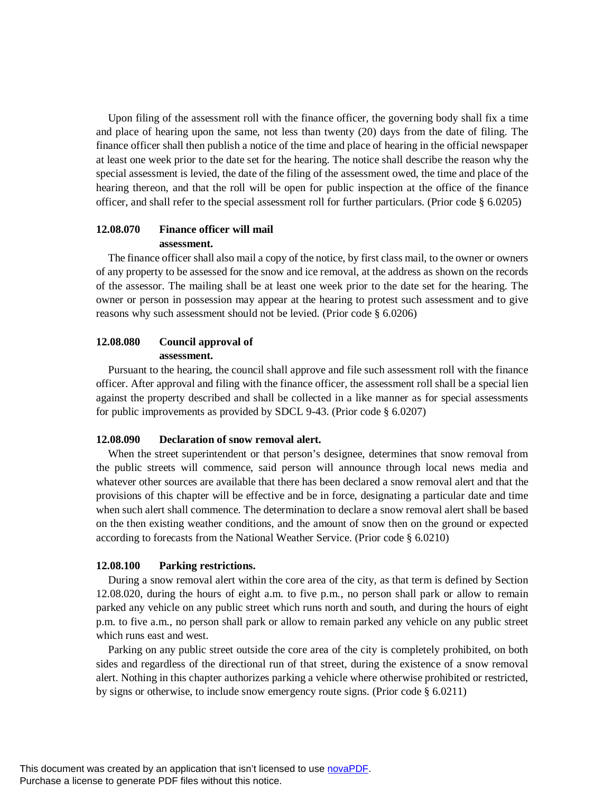Upon filing of the assessment roll with the finance officer, the governing body shall fix a time and place of hearing upon the same, not less than twenty (20) days from the date of filing. The finance officer shall then publish a notice of the time and place of hearing in the official newspaper at least one week prior to the date set for the hearing. The notice shall describe the reason why the special assessment is levied, the date of the filing of the assessment owed, the time and place of the hearing thereon, and that the roll will be open for public inspection at the office of the finance officer, and shall refer to the special assessment roll for further particulars. (Prior code § 6.0205)

# **12.08.070 Finance officer will mail assessment.**

The finance officer shall also mail a copy of the notice, by first class mail, to the owner or owners of any property to be assessed for the snow and ice removal, at the address as shown on the records of the assessor. The mailing shall be at least one week prior to the date set for the hearing. The owner or person in possession may appear at the hearing to protest such assessment and to give reasons why such assessment should not be levied. (Prior code § 6.0206)

# **12.08.080 Council approval of assessment.**

Pursuant to the hearing, the council shall approve and file such assessment roll with the finance officer. After approval and filing with the finance officer, the assessment roll shall be a special lien against the property described and shall be collected in a like manner as for special assessments for public improvements as provided by SDCL 9-43. (Prior code § 6.0207)

## **12.08.090 Declaration of snow removal alert.**

When the street superintendent or that person's designee, determines that snow removal from the public streets will commence, said person will announce through local news media and whatever other sources are available that there has been declared a snow removal alert and that the provisions of this chapter will be effective and be in force, designating a particular date and time when such alert shall commence. The determination to declare a snow removal alert shall be based on the then existing weather conditions, and the amount of snow then on the ground or expected according to forecasts from the National Weather Service. (Prior code § 6.0210)

# **12.08.100 Parking restrictions.**

During a snow removal alert within the core area of the city, as that term is defined by Section 12.08.020, during the hours of eight a.m. to five p.m., no person shall park or allow to remain parked any vehicle on any public street which runs north and south, and during the hours of eight p.m. to five a.m., no person shall park or allow to remain parked any vehicle on any public street which runs east and west.

Parking on any public street outside the core area of the city is completely prohibited, on both sides and regardless of the directional run of that street, during the existence of a snow removal alert. Nothing in this chapter authorizes parking a vehicle where otherwise prohibited or restricted, by signs or otherwise, to include snow emergency route signs. (Prior code § 6.0211)